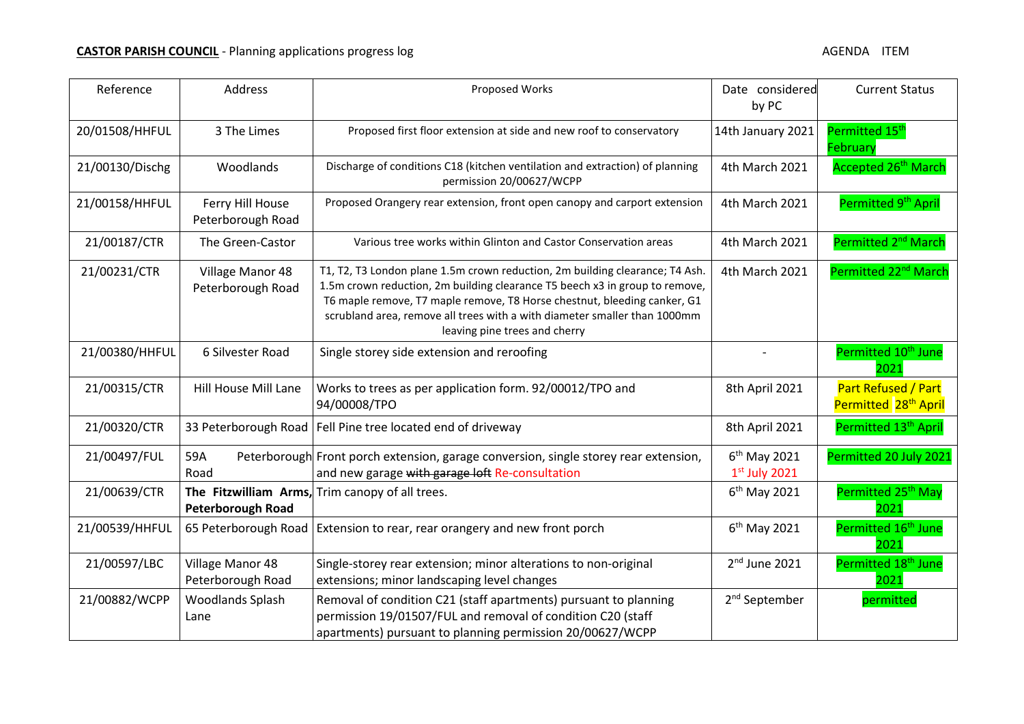| Reference       | Address                               | Proposed Works                                                                                                                                                                                                                                                                                                                                        | Date considered<br>by PC                    | <b>Current Status</b>                                   |
|-----------------|---------------------------------------|-------------------------------------------------------------------------------------------------------------------------------------------------------------------------------------------------------------------------------------------------------------------------------------------------------------------------------------------------------|---------------------------------------------|---------------------------------------------------------|
| 20/01508/HHFUL  | 3 The Limes                           | Proposed first floor extension at side and new roof to conservatory                                                                                                                                                                                                                                                                                   | 14th January 2021                           | Permitted 15 <sup>th</sup><br>February                  |
| 21/00130/Dischg | Woodlands                             | Discharge of conditions C18 (kitchen ventilation and extraction) of planning<br>permission 20/00627/WCPP                                                                                                                                                                                                                                              | 4th March 2021                              | Accepted 26 <sup>th</sup> March                         |
| 21/00158/HHFUL  | Ferry Hill House<br>Peterborough Road | Proposed Orangery rear extension, front open canopy and carport extension                                                                                                                                                                                                                                                                             | 4th March 2021                              | Permitted 9 <sup>th</sup> April                         |
| 21/00187/CTR    | The Green-Castor                      | Various tree works within Glinton and Castor Conservation areas                                                                                                                                                                                                                                                                                       | 4th March 2021                              | Permitted 2 <sup>nd</sup> March                         |
| 21/00231/CTR    | Village Manor 48<br>Peterborough Road | T1, T2, T3 London plane 1.5m crown reduction, 2m building clearance; T4 Ash.<br>1.5m crown reduction, 2m building clearance T5 beech x3 in group to remove,<br>T6 maple remove, T7 maple remove, T8 Horse chestnut, bleeding canker, G1<br>scrubland area, remove all trees with a with diameter smaller than 1000mm<br>leaving pine trees and cherry | 4th March 2021                              | Permitted 22 <sup>nd</sup> March                        |
| 21/00380/HHFUL  | 6 Silvester Road                      | Single storey side extension and reroofing                                                                                                                                                                                                                                                                                                            |                                             | Permitted 10 <sup>th</sup> June<br>2021                 |
| 21/00315/CTR    | Hill House Mill Lane                  | Works to trees as per application form. 92/00012/TPO and<br>94/00008/TPO                                                                                                                                                                                                                                                                              | 8th April 2021                              | Part Refused / Part<br>Permitted 28 <sup>th</sup> April |
| 21/00320/CTR    | 33 Peterborough Road                  | Fell Pine tree located end of driveway                                                                                                                                                                                                                                                                                                                | 8th April 2021                              | Permitted 13 <sup>th</sup> April                        |
| 21/00497/FUL    | 59A<br>Road                           | Peterborough Front porch extension, garage conversion, single storey rear extension,<br>and new garage with garage loft Re-consultation                                                                                                                                                                                                               | 6 <sup>th</sup> May 2021<br>$1st$ July 2021 | Permitted 20 July 2021                                  |
| 21/00639/CTR    | <b>Peterborough Road</b>              | The Fitzwilliam Arms, Trim canopy of all trees.                                                                                                                                                                                                                                                                                                       | $6th$ May 2021                              | Permitted 25 <sup>th</sup> May<br>2021                  |
| 21/00539/HHFUL  | 65 Peterborough Road                  | Extension to rear, rear orangery and new front porch                                                                                                                                                                                                                                                                                                  | 6 <sup>th</sup> May 2021                    | Permitted 16 <sup>th</sup> June<br>2021                 |
| 21/00597/LBC    | Village Manor 48<br>Peterborough Road | Single-storey rear extension; minor alterations to non-original<br>extensions; minor landscaping level changes                                                                                                                                                                                                                                        | $2nd$ June 2021                             | Permitted 18 <sup>th</sup> June<br>2021                 |
| 21/00882/WCPP   | Woodlands Splash<br>Lane              | Removal of condition C21 (staff apartments) pursuant to planning<br>permission 19/01507/FUL and removal of condition C20 (staff<br>apartments) pursuant to planning permission 20/00627/WCPP                                                                                                                                                          | 2 <sup>nd</sup> September                   | permitted                                               |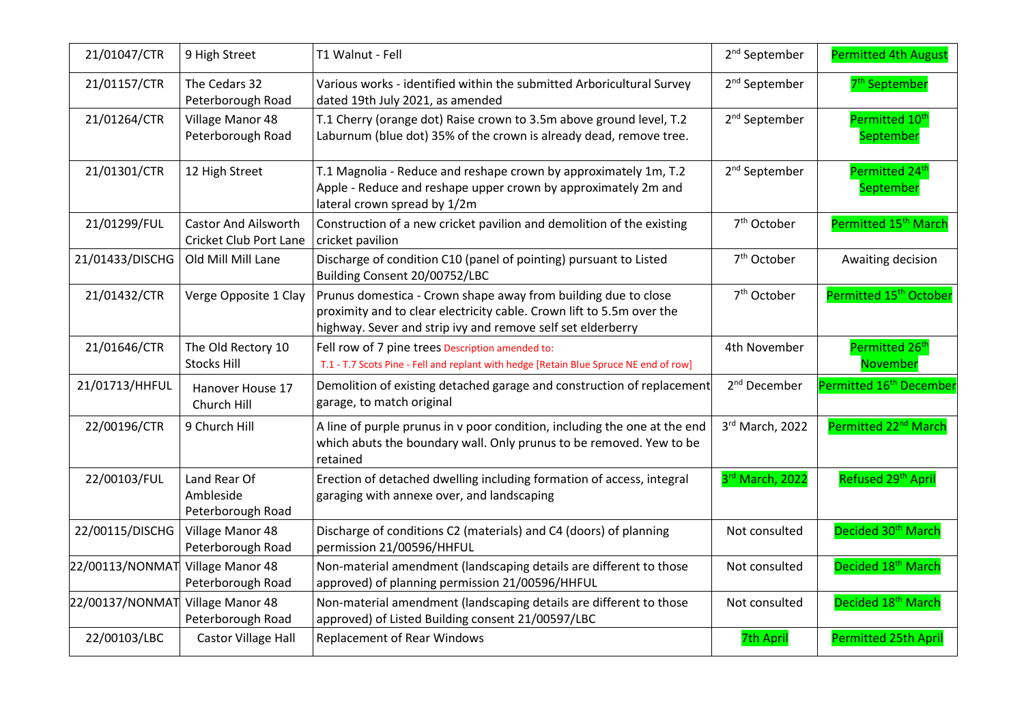| 21/01047/CTR    | 9 High Street                                                | T1 Walnut - Fell                                                                                                                                                                                       | 2 <sup>nd</sup> September | <b>Permitted 4th August</b>             |
|-----------------|--------------------------------------------------------------|--------------------------------------------------------------------------------------------------------------------------------------------------------------------------------------------------------|---------------------------|-----------------------------------------|
| 21/01157/CTR    | The Cedars 32<br>Peterborough Road                           | Various works - identified within the submitted Arboricultural Survey<br>dated 19th July 2021, as amended                                                                                              | 2 <sup>nd</sup> September | 7 <sup>th</sup> September               |
| 21/01264/CTR    | Village Manor 48<br>Peterborough Road                        | T.1 Cherry (orange dot) Raise crown to 3.5m above ground level, T.2<br>Laburnum (blue dot) 35% of the crown is already dead, remove tree.                                                              | 2 <sup>nd</sup> September | Permitted 10 <sup>th</sup><br>September |
| 21/01301/CTR    | 12 High Street                                               | T.1 Magnolia - Reduce and reshape crown by approximately 1m, T.2<br>Apple - Reduce and reshape upper crown by approximately 2m and<br>lateral crown spread by 1/2m                                     | 2 <sup>nd</sup> September | Permitted 24th<br>September             |
| 21/01299/FUL    | <b>Castor And Ailsworth</b><br><b>Cricket Club Port Lane</b> | Construction of a new cricket pavilion and demolition of the existing<br>cricket pavilion                                                                                                              | 7 <sup>th</sup> October   | Permitted 15 <sup>th</sup> March        |
| 21/01433/DISCHG | Old Mill Mill Lane                                           | Discharge of condition C10 (panel of pointing) pursuant to Listed<br>Building Consent 20/00752/LBC                                                                                                     | 7 <sup>th</sup> October   | Awaiting decision                       |
| 21/01432/CTR    | Verge Opposite 1 Clay                                        | Prunus domestica - Crown shape away from building due to close<br>proximity and to clear electricity cable. Crown lift to 5.5m over the<br>highway. Sever and strip ivy and remove self set elderberry | 7 <sup>th</sup> October   | Permitted 15 <sup>th</sup> October      |
| 21/01646/CTR    | The Old Rectory 10<br><b>Stocks Hill</b>                     | Fell row of 7 pine trees Description amended to:<br>T.1 - T.7 Scots Pine - Fell and replant with hedge [Retain Blue Spruce NE end of row]                                                              | 4th November              | Permitted 26 <sup>th</sup><br>November  |
| 21/01713/HHFUL  | Hanover House 17<br>Church Hill                              | Demolition of existing detached garage and construction of replacement<br>garage, to match original                                                                                                    | 2 <sup>nd</sup> December  | Permitted 16 <sup>th</sup> December     |
| 22/00196/CTR    | 9 Church Hill                                                | A line of purple prunus in v poor condition, including the one at the end<br>which abuts the boundary wall. Only prunus to be removed. Yew to be<br>retained                                           | 3rd March, 2022           | Permitted 22 <sup>nd</sup> March        |
| 22/00103/FUL    | Land Rear Of<br>Ambleside<br>Peterborough Road               | Erection of detached dwelling including formation of access, integral<br>garaging with annexe over, and landscaping                                                                                    | 3rd March, 2022           | Refused 29 <sup>th</sup> April          |
| 22/00115/DISCHG | Village Manor 48<br>Peterborough Road                        | Discharge of conditions C2 (materials) and C4 (doors) of planning<br>permission 21/00596/HHFUL                                                                                                         | Not consulted             | Decided 30 <sup>th</sup> March          |
| 22/00113/NONMAT | Village Manor 48<br>Peterborough Road                        | Non-material amendment (landscaping details are different to those<br>approved) of planning permission 21/00596/HHFUL                                                                                  | Not consulted             | Decided 18 <sup>th</sup> March          |
| 22/00137/NONMAT | Village Manor 48<br>Peterborough Road                        | Non-material amendment (landscaping details are different to those<br>approved) of Listed Building consent 21/00597/LBC                                                                                | Not consulted             | Decided 18 <sup>th</sup> March          |
| 22/00103/LBC    | Castor Village Hall                                          | <b>Replacement of Rear Windows</b>                                                                                                                                                                     | <b>7th April</b>          | <b>Permitted 25th April</b>             |